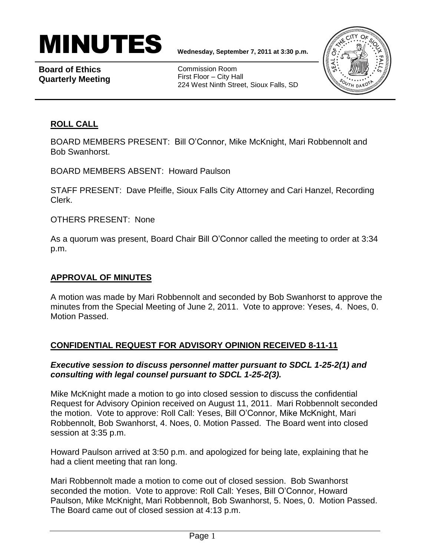

**Board of Ethics Quarterly Meeting**

Commission Room First Floor – City Hall 224 West Ninth Street, Sioux Falls, SD



## **ROLL CALL**

BOARD MEMBERS PRESENT: Bill O'Connor, Mike McKnight, Mari Robbennolt and Bob Swanhorst.

BOARD MEMBERS ABSENT: Howard Paulson

STAFF PRESENT: Dave Pfeifle, Sioux Falls City Attorney and Cari Hanzel, Recording Clerk.

OTHERS PRESENT: None

As a quorum was present, Board Chair Bill O'Connor called the meeting to order at 3:34 p.m.

## **APPROVAL OF MINUTES**

A motion was made by Mari Robbennolt and seconded by Bob Swanhorst to approve the minutes from the Special Meeting of June 2, 2011. Vote to approve: Yeses, 4. Noes, 0. Motion Passed.

### **CONFIDENTIAL REQUEST FOR ADVISORY OPINION RECEIVED 8-11-11**

### *Executive session to discuss personnel matter pursuant to SDCL 1-25-2(1) and consulting with legal counsel pursuant to SDCL 1-25-2(3).*

Mike McKnight made a motion to go into closed session to discuss the confidential Request for Advisory Opinion received on August 11, 2011. Mari Robbennolt seconded the motion. Vote to approve: Roll Call: Yeses, Bill O'Connor, Mike McKnight, Mari Robbennolt, Bob Swanhorst, 4. Noes, 0. Motion Passed. The Board went into closed session at 3:35 p.m.

Howard Paulson arrived at 3:50 p.m. and apologized for being late, explaining that he had a client meeting that ran long.

Mari Robbennolt made a motion to come out of closed session. Bob Swanhorst seconded the motion. Vote to approve: Roll Call: Yeses, Bill O'Connor, Howard Paulson, Mike McKnight, Mari Robbennolt, Bob Swanhorst, 5. Noes, 0. Motion Passed. The Board came out of closed session at 4:13 p.m.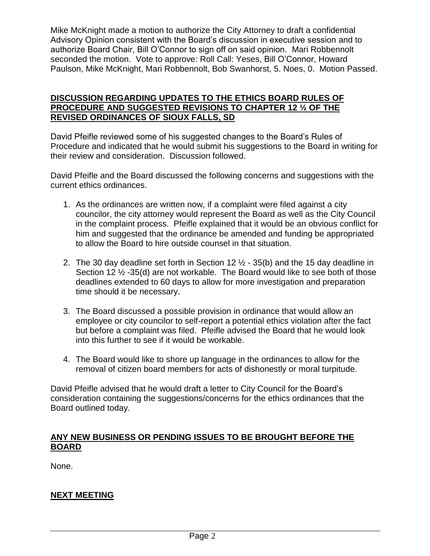Mike McKnight made a motion to authorize the City Attorney to draft a confidential Advisory Opinion consistent with the Board's discussion in executive session and to authorize Board Chair, Bill O'Connor to sign off on said opinion. Mari Robbennolt seconded the motion. Vote to approve: Roll Call: Yeses, Bill O'Connor, Howard Paulson, Mike McKnight, Mari Robbennolt, Bob Swanhorst, 5. Noes, 0. Motion Passed.

#### **DISCUSSION REGARDING UPDATES TO THE ETHICS BOARD RULES OF PROCEDURE AND SUGGESTED REVISIONS TO CHAPTER 12 ½ OF THE REVISED ORDINANCES OF SIOUX FALLS, SD**

David Pfeifle reviewed some of his suggested changes to the Board's Rules of Procedure and indicated that he would submit his suggestions to the Board in writing for their review and consideration. Discussion followed.

David Pfeifle and the Board discussed the following concerns and suggestions with the current ethics ordinances.

- 1. As the ordinances are written now, if a complaint were filed against a city councilor, the city attorney would represent the Board as well as the City Council in the complaint process. Pfeifle explained that it would be an obvious conflict for him and suggested that the ordinance be amended and funding be appropriated to allow the Board to hire outside counsel in that situation.
- 2. The 30 day deadline set forth in Section 12  $\frac{1}{2}$  35(b) and the 15 day deadline in Section 12 ½ -35(d) are not workable. The Board would like to see both of those deadlines extended to 60 days to allow for more investigation and preparation time should it be necessary.
- 3. The Board discussed a possible provision in ordinance that would allow an employee or city councilor to self-report a potential ethics violation after the fact but before a complaint was filed. Pfeifle advised the Board that he would look into this further to see if it would be workable.
- 4. The Board would like to shore up language in the ordinances to allow for the removal of citizen board members for acts of dishonestly or moral turpitude.

David Pfeifle advised that he would draft a letter to City Council for the Board's consideration containing the suggestions/concerns for the ethics ordinances that the Board outlined today.

### **ANY NEW BUSINESS OR PENDING ISSUES TO BE BROUGHT BEFORE THE BOARD**

None.

# **NEXT MEETING**